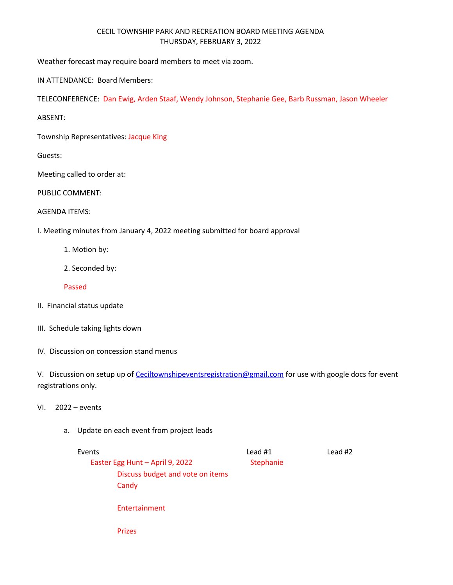## CECIL TOWNSHIP PARK AND RECREATION BOARD MEETING AGENDA THURSDAY, FEBRUARY 3, 2022

Weather forecast may require board members to meet via zoom.

IN ATTENDANCE: Board Members:

TELECONFERENCE: Dan Ewig, Arden Staaf, Wendy Johnson, Stephanie Gee, Barb Russman, Jason Wheeler

ABSENT:

Township Representatives: Jacque King

Guests:

Meeting called to order at:

PUBLIC COMMENT:

AGENDA ITEMS:

I. Meeting minutes from January 4, 2022 meeting submitted for board approval

1. Motion by:

2. Seconded by:

Passed

- II. Financial status update
- III. Schedule taking lights down

IV. Discussion on concession stand menus

V. Discussion on setup up of [Ceciltownshipeventsregistration@gmail.com](mailto:Ceciltownshipeventsregistration@gmail.com) for use with google docs for event registrations only.

- VI. 2022 events
	- a. Update on each event from project leads

## Events Lead #1 Lead #2 Easter Egg Hunt – April 9, 2022 Stephanie Discuss budget and vote on items **Candy** Entertainment

Prizes